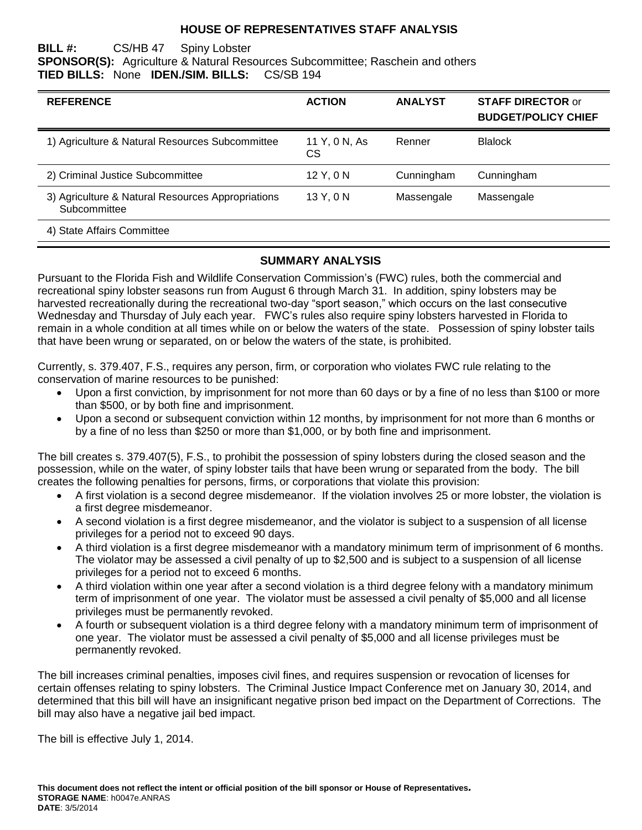#### **HOUSE OF REPRESENTATIVES STAFF ANALYSIS**

#### **BILL #:** CS/HB 47 Spiny Lobster **SPONSOR(S):** Agriculture & Natural Resources Subcommittee; Raschein and others **TIED BILLS:** None **IDEN./SIM. BILLS:** CS/SB 194

| <b>REFERENCE</b>                                                  | <b>ACTION</b>       | <b>ANALYST</b> | <b>STAFF DIRECTOR or</b><br><b>BUDGET/POLICY CHIEF</b> |
|-------------------------------------------------------------------|---------------------|----------------|--------------------------------------------------------|
| 1) Agriculture & Natural Resources Subcommittee                   | 11 Y, 0 N, As<br>СS | Renner         | <b>Blalock</b>                                         |
| 2) Criminal Justice Subcommittee                                  | 12 Y, 0 N           | Cunningham     | Cunningham                                             |
| 3) Agriculture & Natural Resources Appropriations<br>Subcommittee | 13 Y, 0 N           | Massengale     | Massengale                                             |
| 4) State Affairs Committee                                        |                     |                |                                                        |

#### **SUMMARY ANALYSIS**

Pursuant to the Florida Fish and Wildlife Conservation Commission's (FWC) rules, both the commercial and recreational spiny lobster seasons run from August 6 through March 31. In addition, spiny lobsters may be harvested recreationally during the recreational two-day "sport season," which occurs on the last consecutive Wednesday and Thursday of July each year. FWC's rules also require spiny lobsters harvested in Florida to remain in a whole condition at all times while on or below the waters of the state. Possession of spiny lobster tails that have been wrung or separated, on or below the waters of the state, is prohibited.

Currently, s. 379.407, F.S., requires any person, firm, or corporation who violates FWC rule relating to the conservation of marine resources to be punished:

- Upon a first conviction, by imprisonment for not more than 60 days or by a fine of no less than \$100 or more than \$500, or by both fine and imprisonment.
- Upon a second or subsequent conviction within 12 months, by imprisonment for not more than 6 months or by a fine of no less than \$250 or more than \$1,000, or by both fine and imprisonment.

The bill creates s. 379.407(5), F.S., to prohibit the possession of spiny lobsters during the closed season and the possession, while on the water, of spiny lobster tails that have been wrung or separated from the body. The bill creates the following penalties for persons, firms, or corporations that violate this provision:

- A first violation is a second degree misdemeanor. If the violation involves 25 or more lobster, the violation is a first degree misdemeanor.
- A second violation is a first degree misdemeanor, and the violator is subject to a suspension of all license privileges for a period not to exceed 90 days.
- A third violation is a first degree misdemeanor with a mandatory minimum term of imprisonment of 6 months. The violator may be assessed a civil penalty of up to \$2,500 and is subject to a suspension of all license privileges for a period not to exceed 6 months.
- A third violation within one year after a second violation is a third degree felony with a mandatory minimum term of imprisonment of one year. The violator must be assessed a civil penalty of \$5,000 and all license privileges must be permanently revoked.
- A fourth or subsequent violation is a third degree felony with a mandatory minimum term of imprisonment of one year. The violator must be assessed a civil penalty of \$5,000 and all license privileges must be permanently revoked.

The bill increases criminal penalties, imposes civil fines, and requires suspension or revocation of licenses for certain offenses relating to spiny lobsters. The Criminal Justice Impact Conference met on January 30, 2014, and determined that this bill will have an insignificant negative prison bed impact on the Department of Corrections. The bill may also have a negative jail bed impact.

The bill is effective July 1, 2014.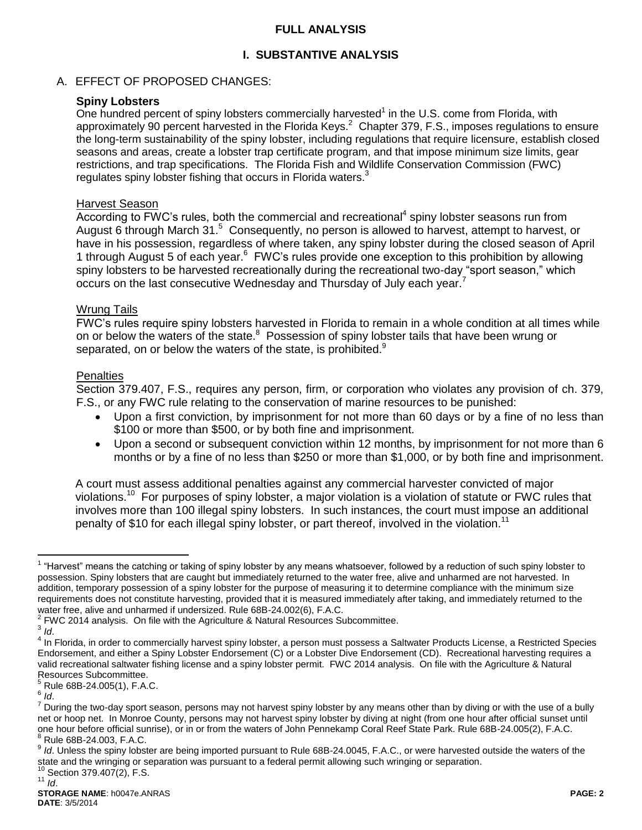## **FULL ANALYSIS**

## **I. SUBSTANTIVE ANALYSIS**

## A. EFFECT OF PROPOSED CHANGES:

## **Spiny Lobsters**

One hundred percent of spiny lobsters commercially harvested $<sup>1</sup>$  in the U.S. come from Florida, with</sup> approximately 90 percent harvested in the Florida Keys.<sup>2</sup> Chapter 379, F.S., imposes regulations to ensure the long-term sustainability of the spiny lobster, including regulations that require licensure, establish closed seasons and areas, create a lobster trap certificate program, and that impose minimum size limits, gear restrictions, and trap specifications. The Florida Fish and Wildlife Conservation Commission (FWC) regulates spiny lobster fishing that occurs in Florida waters.<sup>3</sup>

#### Harvest Season

 $\overline{\text{According to FWC}}$ 's rules, both the commercial and recreational<sup>4</sup> spiny lobster seasons run from August 6 through March 31.<sup>5</sup> Consequently, no person is allowed to harvest, attempt to harvest, or have in his possession, regardless of where taken, any spiny lobster during the closed season of April 1 through August 5 of each year. <sup>6</sup> FWC's rules provide one exception to this prohibition by allowing spiny lobsters to be harvested recreationally during the recreational two-day "sport season," which occurs on the last consecutive Wednesday and Thursday of July each year.<sup>7</sup>

#### Wrung Tails

FWC's rules require spiny lobsters harvested in Florida to remain in a whole condition at all times while on or below the waters of the state.<sup>8</sup> Possession of spiny lobster tails that have been wrung or separated, on or below the waters of the state, is prohibited.<sup>9</sup>

#### **Penalties**

Section 379.407, F.S., requires any person, firm, or corporation who violates any provision of ch. 379, F.S., or any FWC rule relating to the conservation of marine resources to be punished:

- Upon a first conviction, by imprisonment for not more than 60 days or by a fine of no less than \$100 or more than \$500, or by both fine and imprisonment.
- Upon a second or subsequent conviction within 12 months, by imprisonment for not more than 6 months or by a fine of no less than \$250 or more than \$1,000, or by both fine and imprisonment.

A court must assess additional penalties against any commercial harvester convicted of major violations.<sup>10</sup> For purposes of spiny lobster, a major violation is a violation of statute or FWC rules that involves more than 100 illegal spiny lobsters. In such instances, the court must impose an additional penalty of \$10 for each illegal spiny lobster, or part thereof, involved in the violation.<sup>11</sup>

Section 379.407(2), F.S. <sup>11</sup> *Id*.

 $\overline{a}$ <sup>1</sup> "Harvest" means the catching or taking of spiny lobster by any means whatsoever, followed by a reduction of such spiny lobster to possession. Spiny lobsters that are caught but immediately returned to the water free, alive and unharmed are not harvested. In addition, temporary possession of a spiny lobster for the purpose of measuring it to determine compliance with the minimum size requirements does not constitute harvesting, provided that it is measured immediately after taking, and immediately returned to the water free, alive and unharmed if undersized. Rule 68B-24.002(6), F.A.C.

 $2$  FWC 2014 analysis. On file with the Agriculture & Natural Resources Subcommittee.

<sup>3</sup> *Id*.

<sup>&</sup>lt;sup>4</sup> In Florida, in order to commercially harvest spiny lobster, a person must possess a Saltwater Products License, a Restricted Species Endorsement, and either a Spiny Lobster Endorsement (C) or a Lobster Dive Endorsement (CD). Recreational harvesting requires a valid recreational saltwater fishing license and a spiny lobster permit. FWC 2014 analysis. On file with the Agriculture & Natural Resources Subcommittee.

<sup>5</sup> Rule 68B-24.005(1), F.A.C.

<sup>6</sup> *Id*.

<sup>&</sup>lt;sup>7</sup> During the two-day sport season, persons may not harvest spiny lobster by any means other than by diving or with the use of a bully net or hoop net. In Monroe County, persons may not harvest spiny lobster by diving at night (from one hour after official sunset until one hour before official sunrise), or in or from the waters of John Pennekamp Coral Reef State Park. Rule 68B-24.005(2), F.A.C.  $8$  Rule 68B-24.003, F.A.C.

<sup>9</sup> *Id*. Unless the spiny lobster are being imported pursuant to Rule 68B-24.0045, F.A.C., or were harvested outside the waters of the state and the wringing or separation was pursuant to a federal permit allowing such wringing or separation.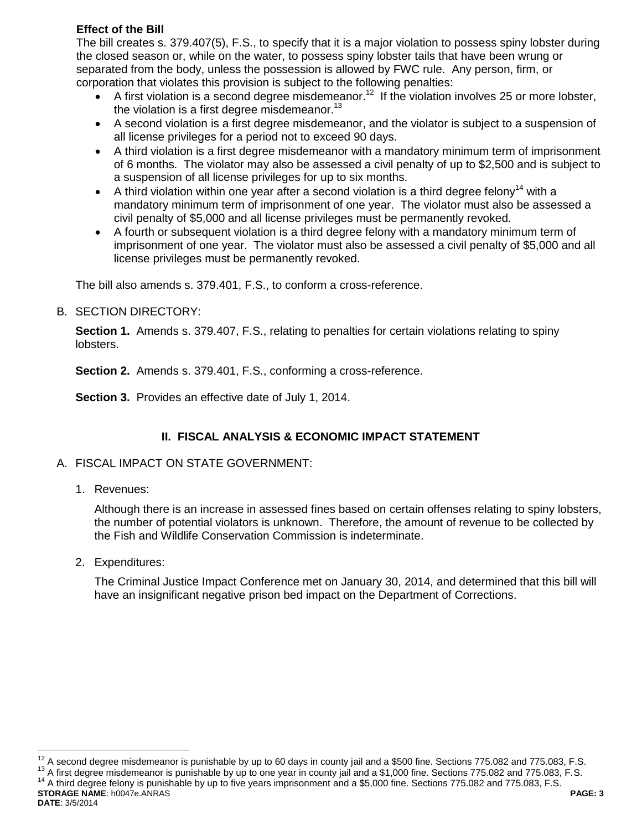## **Effect of the Bill**

The bill creates s. 379.407(5), F.S., to specify that it is a major violation to possess spiny lobster during the closed season or, while on the water, to possess spiny lobster tails that have been wrung or separated from the body, unless the possession is allowed by FWC rule. Any person, firm, or corporation that violates this provision is subject to the following penalties:

- A first violation is a second degree misdemeanor.<sup>12</sup> If the violation involves 25 or more lobster, the violation is a first degree misdemeanor. $13$
- A second violation is a first degree misdemeanor, and the violator is subject to a suspension of all license privileges for a period not to exceed 90 days.
- A third violation is a first degree misdemeanor with a mandatory minimum term of imprisonment of 6 months. The violator may also be assessed a civil penalty of up to \$2,500 and is subject to a suspension of all license privileges for up to six months.
- A third violation within one year after a second violation is a third degree felony<sup>14</sup> with a mandatory minimum term of imprisonment of one year. The violator must also be assessed a civil penalty of \$5,000 and all license privileges must be permanently revoked.
- A fourth or subsequent violation is a third degree felony with a mandatory minimum term of imprisonment of one year. The violator must also be assessed a civil penalty of \$5,000 and all license privileges must be permanently revoked.

The bill also amends s. 379.401, F.S., to conform a cross-reference.

B. SECTION DIRECTORY:

**Section 1.** Amends s. 379.407, F.S., relating to penalties for certain violations relating to spiny lobsters.

**Section 2.** Amends s. 379.401, F.S., conforming a cross-reference.

**Section 3.** Provides an effective date of July 1, 2014.

# **II. FISCAL ANALYSIS & ECONOMIC IMPACT STATEMENT**

- A. FISCAL IMPACT ON STATE GOVERNMENT:
	- 1. Revenues:

Although there is an increase in assessed fines based on certain offenses relating to spiny lobsters, the number of potential violators is unknown. Therefore, the amount of revenue to be collected by the Fish and Wildlife Conservation Commission is indeterminate.

2. Expenditures:

The Criminal Justice Impact Conference met on January 30, 2014, and determined that this bill will have an insignificant negative prison bed impact on the Department of Corrections.

<sup>13</sup> A first degree misdemeanor is punishable by up to one year in county jail and a \$1,000 fine. Sections 775.082 and 775.083, F.S.

**STORAGE NAME**: h0047e.ANRAS **PAGE: 3** <sup>14</sup> A third degree felony is punishable by up to five years imprisonment and a \$5,000 fine. Sections 775.082 and 775.083, F.S.

 $\overline{a}$  $12$  A second degree misdemeanor is punishable by up to 60 days in county jail and a \$500 fine. Sections 775.082 and 775.083, F.S.